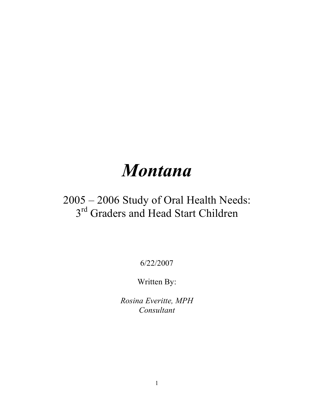# *Montana*

# 2005 – 2006 Study of Oral Health Needs: 3<sup>rd</sup> Graders and Head Start Children

6/22/2007

Written By:

*Rosina Everitte, MPH Consultant*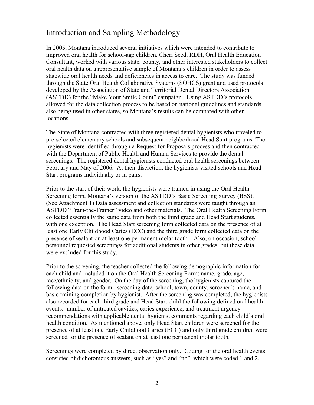#### Introduction and Sampling Methodology

In 2005, Montana introduced several initiatives which were intended to contribute to improved oral health for school-age children. Cheri Seed, RDH, Oral Health Education Consultant, worked with various state, county, and other interested stakeholders to collect oral health data on a representative sample of Montana's children in order to assess statewide oral health needs and deficiencies in access to care. The study was funded through the State Oral Health Collaborative Systems (SOHCS) grant and used protocols developed by the Association of State and Territorial Dental Directors Association (ASTDD) for the "Make Your Smile Count" campaign. Using ASTDD's protocols allowed for the data collection process to be based on national guidelines and standards also being used in other states, so Montana's results can be compared with other locations.

The State of Montana contracted with three registered dental hygienists who traveled to pre-selected elementary schools and subsequent neighborhood Head Start programs. The hygienists were identified through a Request for Proposals process and then contracted with the Department of Public Health and Human Services to provide the dental screenings. The registered dental hygienists conducted oral health screenings between February and May of 2006. At their discretion, the hygienists visited schools and Head Start programs individually or in pairs.

Prior to the start of their work, the hygienists were trained in using the Oral Health Screening form, Montana's version of the ASTDD's Basic Screening Survey (BSS). (See Attachment 1) Data assessment and collection standards were taught through an ASTDD "Train-the-Trainer" video and other materials. The Oral Health Screening Form collected essentially the same data from both the third grade and Head Start students, with one exception. The Head Start screening form collected data on the presence of at least one Early Childhood Caries (ECC) and the third grade form collected data on the presence of sealant on at least one permanent molar tooth. Also, on occasion, school personnel requested screenings for additional students in other grades, but these data were excluded for this study.

Prior to the screening, the teacher collected the following demographic information for each child and included it on the Oral Health Screening Form: name, grade, age, race/ethnicity, and gender. On the day of the screening, the hygienists captured the following data on the form: screening date, school, town, county, screener's name, and basic training completion by hygienist. After the screening was completed, the hygienists also recorded for each third grade and Head Start child the following defined oral health events: number of untreated cavities, caries experience, and treatment urgency recommendations with applicable dental hygienist comments regarding each child's oral health condition. As mentioned above, only Head Start children were screened for the presence of at least one Early Childhood Caries (ECC) and only third grade children were screened for the presence of sealant on at least one permanent molar tooth.

Screenings were completed by direct observation only. Coding for the oral health events consisted of dichotomous answers, such as "yes" and "no", which were coded 1 and 2,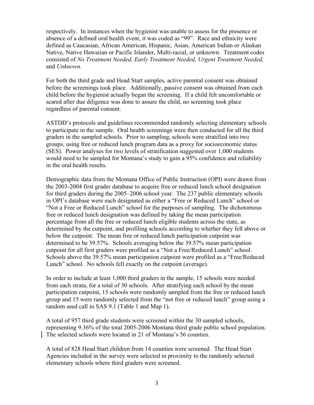respectively. In instances when the hygienist was unable to assess for the presence or absence of a defined oral health event, it was coded as "99". Race and ethnicity were defined as Caucasian, African American, Hispanic, Asian, American Indian or Alaskan Native, Native Hawaiian or Pacific Islander, Multi-racial, or unknown. Treatment codes consisted of *No Treatment Needed, Early Treatment Needed, Urgent Treatment Needed,* and *Unknown.*

For both the third grade and Head Start samples, active parental consent was obtained before the screenings took place. Additionally, passive consent was obtained from each child before the hygienist actually began the screening. If a child felt uncomfortable or scared after due diligence was done to assure the child, no screening took place regardless of parental consent.

ASTDD's protocols and guidelines recommended randomly selecting elementary schools to participate in the sample. Oral health screenings were then conducted for all the third graders in the sampled schools. Prior to sampling, schools were stratified into two groups, using free or reduced lunch program data as a proxy for socioeconomic status (SES). Power analyses for two levels of stratification suggested over 1,000 students would need to be sampled for Montana's study to gain a 95% confidence and reliability in the oral health results.

Demographic data from the Montana Office of Public Instruction (OPI) were drawn from the 2003-2004 first grader database to acquire free or reduced lunch school designation for third graders during the 2005–2006 school year. The 237 public elementary schools in OPI's database were each designated as either a "Free or Reduced Lunch" school or "Not a Free or Reduced Lunch" school for the purposes of sampling. The dichotomous free or reduced lunch designation was defined by taking the mean participation percentage from all the free or reduced lunch eligible students across the state, as determined by the cutpoint, and profiling schools according to whether they fell above or below the cutpoint. The mean free or reduced lunch participation cutpoint was determined to be 39.57%. Schools averaging below the 39.57% mean participation cutpoint for all first graders were profiled as a "Not a Free/Reduced Lunch" school. Schools above the 39.57% mean participation cutpoint were profiled as a "Free/Reduced Lunch" school. No schools fell exactly on the cutpoint (average).

In order to include at least 1,000 third graders in the sample, 15 schools were needed from each strata, for a total of 30 schools. After stratifying each school by the mean participation cutpoint, 15 schools were randomly sampled from the free or reduced lunch group and 15 were randomly selected from the "not free or reduced lunch" group using a random seed call in SAS 9.1 (Table 1 and Map 1).

A total of 957 third grade students were screened within the 30 sampled schools, representing 9.36% of the total 2005-2006 Montana third grade public school population. The selected schools were located in 21 of Montana's 56 counties.

A total of 828 Head Start children from 14 counties were screened. The Head Start Agencies included in the survey were selected in proximity to the randomly selected elementary schools where third graders were screened.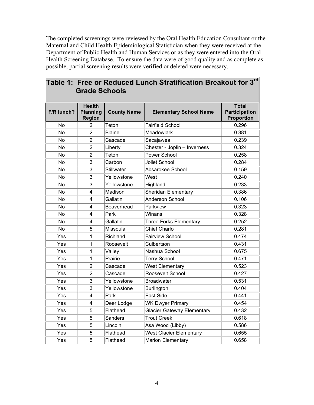The completed screenings were reviewed by the Oral Health Education Consultant or the Maternal and Child Health Epidemiological Statistician when they were received at the Department of Public Health and Human Services or as they were entered into the Oral Health Screening Database. To ensure the data were of good quality and as complete as possible, partial screening results were verified or deleted were necessary.

|            | <b>Health</b>                    |                    |                                   | <b>Total</b>                              |
|------------|----------------------------------|--------------------|-----------------------------------|-------------------------------------------|
| F/R lunch? | <b>Planning</b><br><b>Region</b> | <b>County Name</b> | <b>Elementary School Name</b>     | <b>Participation</b><br><b>Proportion</b> |
| <b>No</b>  | $\overline{2}$                   | Teton              | <b>Fairfield School</b>           | 0.296                                     |
| <b>No</b>  | $\overline{2}$                   | <b>Blaine</b>      | <b>Meadowlark</b>                 | 0.381                                     |
| <b>No</b>  | $\overline{2}$                   | Cascade            | Sacajawea                         | 0.239                                     |
| <b>No</b>  | $\overline{2}$                   | Liberty            | Chester - Joplin - Inverness      | 0.324                                     |
| No         | $\overline{2}$                   | Teton              | Power School                      | 0.258                                     |
| No         | 3                                | Carbon             | Joliet School                     | 0.284                                     |
| <b>No</b>  | 3                                | <b>Stillwater</b>  | Absarokee School                  | 0.159                                     |
| <b>No</b>  | 3                                | Yellowstone        | West                              | 0.240                                     |
| <b>No</b>  | 3                                | Yellowstone        | Highland                          | 0.233                                     |
| <b>No</b>  | 4                                | Madison            | Sheridan Elementary               | 0.386                                     |
| <b>No</b>  | 4                                | Gallatin           | Anderson School                   | 0.106                                     |
| <b>No</b>  | 4                                | Beaverhead         | Parkview                          | 0.323                                     |
| <b>No</b>  | 4                                | Park               | Winans                            | 0.328                                     |
| <b>No</b>  | 4                                | Gallatin           | <b>Three Forks Elementary</b>     | 0.252                                     |
| No         | 5                                | Missoula           | <b>Chief Charlo</b>               | 0.281                                     |
| Yes        | 1                                | Richland           | <b>Fairview School</b>            | 0.474                                     |
| Yes        | 1                                | Roosevelt          | Culbertson                        | 0.431                                     |
| Yes        | $\mathbf 1$                      | Valley             | Nashua School                     | 0.675                                     |
| Yes        | 1                                | Prairie            | <b>Terry School</b>               | 0.471                                     |
| Yes        | $\overline{2}$                   | Cascade            | <b>West Elementary</b>            | 0.523                                     |
| Yes        | $\overline{2}$                   | Cascade            | Roosevelt School                  | 0.427                                     |
| Yes        | 3                                | Yellowstone        | <b>Broadwater</b>                 | 0.531                                     |
| Yes        | 3                                | Yellowstone        | Burlington                        | 0.404                                     |
| Yes        | 4                                | Park               | <b>East Side</b>                  | 0.441                                     |
| Yes        | 4                                | Deer Lodge         | <b>WK Dwyer Primary</b>           | 0.454                                     |
| Yes        | 5                                | Flathead           | <b>Glacier Gateway Elementary</b> | 0.432                                     |
| Yes        | 5                                | <b>Sanders</b>     | <b>Trout Creek</b>                | 0.618                                     |
| Yes        | 5                                | Lincoln            | Asa Wood (Libby)                  | 0.586                                     |
| Yes        | 5                                | Flathead           | <b>West Glacier Elementary</b>    | 0.655                                     |
| Yes        | 5                                | Flathead           | <b>Marion Elementary</b>          | 0.658                                     |

#### **Table 1: Free or Reduced Lunch Stratification Breakout for 3rd Grade Schools**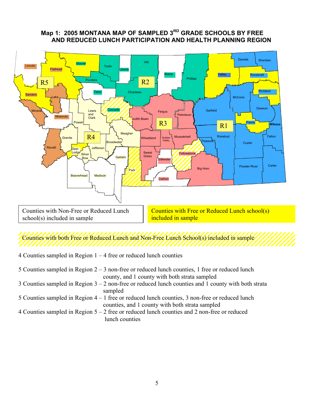#### **Map 1: 2005 MONTANA MAP OF SAMPLED 3RD GRADE SCHOOLS BY FREE AND REDUCED LUNCH PARTICIPATION AND HEALTH PLANNING REGION**



Counties with both Free or Reduced Lunch and Non-Free Lunch School(s) included in sample

4 Counties sampled in Region  $1 - 4$  free or reduced lunch counties

| 5 Counties sampled in Region $2 - 3$ non-free or reduced lunch counties, 1 free or reduced lunch      |
|-------------------------------------------------------------------------------------------------------|
| county, and 1 county with both strata sampled                                                         |
| 3 Counties sampled in Region $3 - 2$ non-free or reduced lunch counties and 1 county with both strata |
| sampled                                                                                               |
| 5 Counties sampled in Region $4 - 1$ free or reduced lunch counties, 3 non-free or reduced lunch      |
| counties, and 1 county with both strata sampled                                                       |
| 4 Counties sampled in Region $5 - 2$ free or reduced lunch counties and 2 non-free or reduced         |
| lunch counties                                                                                        |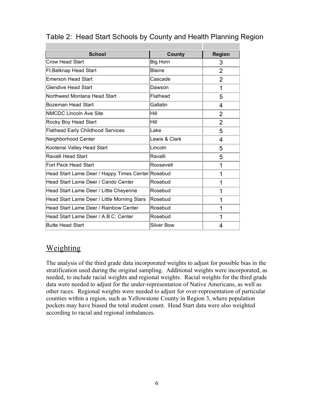| <b>School</b>                                     | County            | <b>Region</b>  |
|---------------------------------------------------|-------------------|----------------|
| Crow Head Start                                   | <b>Big Horn</b>   | 3              |
| <b>Ft.Belknap Head Start</b>                      | <b>Blaine</b>     | $\overline{2}$ |
| <b>Emerson Head Start</b>                         | Cascade           | 2              |
| <b>Glendive Head Start</b>                        | Dawson            | 1              |
| Northwest Montana Head Start                      | Flathead          | 5              |
| Bozeman Head Start                                | Gallatin          | 4              |
| NMCDC Lincoln Ave Site                            | Hill              | $\overline{2}$ |
| Rocky Boy Head Start                              | Hill              | $\overline{2}$ |
| <b>Flathead Early Childhood Services</b>          | Lake              | 5              |
| Neighborhood Center                               | Lewis & Clark     | 4              |
| Kootenai Valley Head Start                        | Lincoln           | 5              |
| Ravalli Head Start                                | Ravalli           | 5              |
| Fort Peck Head Start                              | Roosevelt         | 1              |
| Head Start Lame Deer / Happy Times Center Rosebud |                   | 1              |
| Head Start Lame Deer / Cando Center               | Rosebud           | 1              |
| Head Start Lame Deer / Little Cheyenne            | Rosebud           | 1              |
| Head Start Lame Deer / Little Morning Stars       | Rosebud           | 1              |
| Head Start Lame Deer / Rainbow Center             | Rosebud           | 1              |
| Head Start Lame Deer / A.B.C. Center              | Rosebud           | 1              |
| <b>Butte Head Start</b>                           | <b>Silver Bow</b> | 4              |

#### Table 2: Head Start Schools by County and Health Planning Region

### Weighting

The analysis of the third grade data incorporated weights to adjust for possible bias in the stratification used during the original sampling. Additional weights were incorporated, as needed, to include racial weights and regional weights. Racial weights for the third grade data were needed to adjust for the under-representation of Native Americans, as well as other races. Regional weights were needed to adjust for over-representation of particular counties within a region, such as Yellowstone County in Region 3, where population pockets may have biased the total student count. Head Start data were also weighted according to racial and regional imbalances.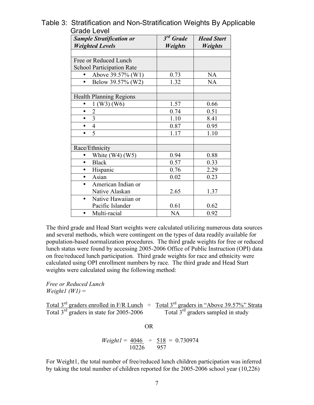| <b>Sample Stratification or</b>  | 3 <sup>rd</sup> Grade | <b>Head Start</b> |
|----------------------------------|-----------------------|-------------------|
| <b>Weighted Levels</b>           | <b>Weights</b>        | <b>Weights</b>    |
|                                  |                       |                   |
| Free or Reduced Lunch            |                       |                   |
| <b>School Participation Rate</b> |                       |                   |
| Above 39.57% (W1)                | 0.73                  | <b>NA</b>         |
| Below 39.57% (W2)<br>$\bullet$   | 1.32                  | <b>NA</b>         |
|                                  |                       |                   |
| <b>Health Planning Regions</b>   |                       |                   |
| $1$ (W3) (W6)                    | 1.57                  | 0.66              |
| $\overline{c}$<br>$\bullet$      | 0.74                  | 0.51              |
| 3<br>$\bullet$                   | 1.10                  | 8.41              |
| $\overline{4}$<br>$\bullet$      | 0.87                  | 0.95              |
| 5<br>$\bullet$                   | 1.17                  | 1.10              |
|                                  |                       |                   |
| Race/Ethnicity                   |                       |                   |
| White $(W4)$ $(W5)$              | 0.94                  | 0.88              |
| <b>Black</b><br>$\bullet$        | 0.57                  | 0.33              |
| Hispanic<br>$\bullet$            | 0.76                  | 2.29              |
| Asian<br>$\bullet$               | 0.02                  | 0.23              |
| American Indian or<br>$\bullet$  |                       |                   |
| Native Alaskan                   | 2.65                  | 1.37              |
| Native Hawaiian or<br>$\bullet$  |                       |                   |
| Pacific Islander                 | 0.61                  | 0.62              |
| Multi-racial                     | NA                    | 0.92              |

Table 3: Stratification and Non-Stratification Weights By Applicable Grade Level

The third grade and Head Start weights were calculated utilizing numerous data sources and several methods, which were contingent on the types of data readily available for population-based normalization procedures. The third grade weights for free or reduced lunch status were found by accessing 2005-2006 Office of Public Instruction (OPI) data on free/reduced lunch participation. Third grade weights for race and ethnicity were calculated using OPI enrollment numbers by race. The third grade and Head Start weights were calculated using the following method:

*Free or Reduced Lunch*  $Weight1 (WI) =$ 

Total 3<sup>rd</sup> graders enrolled in F/R Lunch  $\div$  Total 3<sup>rd</sup> graders in "Above 39.57%" Strata Total  $3^{rd}$  graders in state for 2005-2006 Total  $3^{rd}$  graders sampled in study

OR

$$
Weight1 = \frac{4046}{10226} \div \frac{518}{957} = 0.730974
$$

For Weight1, the total number of free/reduced lunch children participation was inferred by taking the total number of children reported for the 2005-2006 school year (10,226)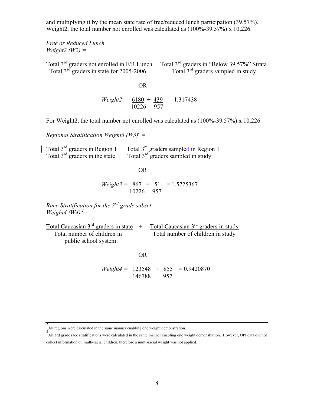and multiplying it by the mean state rate of free/reduced lunch participation (39.57%). Weight2, the total number not enrolled was calculated as  $(100\% - 39.57\%)$  x 10,226.

*Free or Reduced Lunch Weight2 (W2) =* 

Total 3<sup>rd</sup> graders not enrolled in F/R Lunch  $\div$  Total 3<sup>rd</sup> graders in "Below 39.57%" Strata Total  $3^{rd}$  graders in state for 2005-2006 Total  $3^{rd}$  graders sampled in study

**OR** Service Service Service Service Service Service Service Service Service Service Service Service Service Service Service Service Service Service Service Service Service Service Service Service Service Service Service S

$$
Weight2 = \frac{6180}{10226} \div \frac{439}{957} = 1.317438
$$

For Weight2, the total number not enrolled was calculated as (100%-39.57%) x 10,226.

*Regional Stratification Weight3 (W3)<sup>c</sup>* =

Total 3<sup>rd</sup> graders in Region 1  $\div$  Total 3<sup>rd</sup> graders sampled in Region 1 Total 3<sup>rd</sup> graders in the state Total 3<sup>rd</sup> graders sampled in study

OR

$$
Weight3 = \frac{867}{10226} \div \frac{51}{957} = 1.5725367
$$

*Race Stratification for the 3rd grade subset Weight4* ( $\dot{W}$ 4)<sup>2</sup>=

| Total Caucasian $3^{rd}$ graders in state $\div$ | Total Caucasian $3rd$ graders in study |
|--------------------------------------------------|----------------------------------------|
| Total number of children in                      | Total number of children in study      |
| public school system                             |                                        |

OR

$$
Weight4 = \frac{123548}{146788} \div \frac{855}{957} = 0.9420870
$$

*<sup>1</sup>* All regions were calculated in the same manner enabling one weight demonstration. *<sup>2</sup>*

All 3rd grade race stratifications were calculated in the same manner enabling one weight demonstration. However, OPI data did not collect information on multi-racial children, therefore a multi-racial weight was not applied.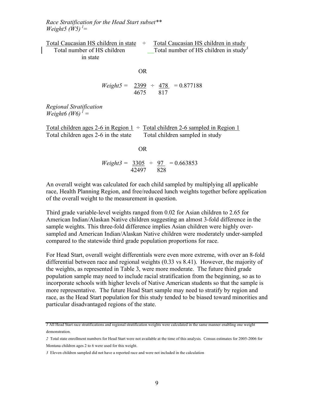*Race Stratification for the Head Start subset\*\* Weight5* ( $\dot{W}$ 5)<sup> $l$ </sup>=

Total Caucasian HS children in state  $\div$  Total Caucasian HS children in study Total number of HS children Total number of HS children in study<sup>3</sup> in state

$$
\overline{\text{OR}}
$$

$$
Weight5 = \frac{2399}{4675} \div \frac{478}{817} = 0.877188
$$

*Regional Stratification*  $Weight6 (W6)^{1} =$ 

Total children ages 2-6 in Region  $1 \div$  Total children 2-6 sampled in Region 1 Total children ages 2-6 in the state Total children sampled in study

OR

$$
Weight3 = \frac{3305}{42497} \div \frac{97}{828} = 0.663853
$$

An overall weight was calculated for each child sampled by multiplying all applicable race, Health Planning Region, and free/reduced lunch weights together before application of the overall weight to the measurement in question.

Third grade variable-level weights ranged from 0.02 for Asian children to 2.65 for American Indian/Alaskan Native children suggesting an almost 3-fold difference in the sample weights. This three-fold difference implies Asian children were highly oversampled and American Indian/Alaskan Native children were moderately under-sampled compared to the statewide third grade population proportions for race.

For Head Start, overall weight differentials were even more extreme, with over an 8-fold differential between race and regional weights (0.33 vs 8.41). However, the majority of the weights, as represented in Table 3, were more moderate. The future third grade population sample may need to include racial stratification from the beginning, so as to incorporate schools with higher levels of Native American students so that the sample is more representative. The future Head Start sample may need to stratify by region and race, as the Head Start population for this study tended to be biased toward minorities and particular disadvantaged regions of the state.

*<sup>1</sup>* All Head Start race stratifications and regional stratification weights were calculated in the same manner enabling one weight demonstration.

*<sup>2</sup>* Total state enrollment numbers for Head Start were not available at the time of this analysis. Census estimates for 2005-2006 for Montana children ages 2 to 6 were used for this weight.

*<sup>3</sup>* Eleven children sampled did not have a reported race and were not included in the calculation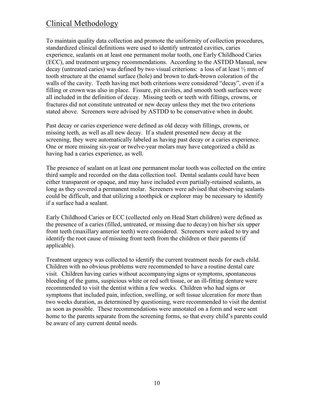## Clinical Methodology

To maintain quality data collection and promote the uniformity of collection procedures, standardized clinical definitions were used to identify untreated cavities, caries experience, sealants on at least one permanent molar tooth, one Early Childhood Caries (ECC), and treatment urgency recommendations. According to the ASTDD Manual, new decay (untreated caries) was defined by two visual criterions: a loss of at least ½ mm of tooth structure at the enamel surface (hole) and brown to dark-brown coloration of the walls of the cavity. Teeth having met both criterions were considered "decay", even if a filling or crown was also in place. Fissure, pit cavities, and smooth tooth surfaces were all included in the definition of decay. Missing teeth or teeth with fillings, crowns, or fractures did not constitute untreated or new decay unless they met the two criterions stated above. Screeners were advised by ASTDD to be conservative when in doubt.

Past decay or caries experience were defined as old decay with fillings, crowns, or missing teeth, as well as all new decay. If a student presented new decay at the screening, they were automatically labeled as having past decay or a caries experience. One or more missing six-year or twelve-year molars may have categorized a child as having had a caries experience, as well.

The presence of sealant on at least one permanent molar tooth was collected on the entire third sample and recorded on the data collection tool. Dental sealants could have been either transparent or opaque, and may have included even partially-retained sealants, as long as they covered a permanent molar. Screeners were advised that observing sealants could be difficult, and that utilizing a toothpick or explorer may be necessary to identify if a surface had a sealant.

Early Childhood Caries or ECC (collected only on Head Start children) were defined as the presence of a caries (filled, untreated, or missing due to decay) on his/her six upper front teeth (maxillary anterior teeth) were considered. Screeners were asked to try and identify the root cause of missing front teeth from the children or their parents (if applicable).

Treatment urgency was collected to identify the current treatment needs for each child. Children with no obvious problems were recommended to have a routine dental care visit. Children having caries without accompanying signs or symptoms, spontaneous bleeding of the gums, suspicious white or red soft tissue, or an ill-fitting denture were recommended to visit the dentist within a few weeks. Children who had signs or symptoms that included pain, infection, swelling, or soft tissue ulceration for more than two weeks duration, as determined by questioning, were recommended to visit the dentist as soon as possible. These recommendations were annotated on a form and were sent home to the parents separate from the screening forms, so that every child's parents could be aware of any current dental needs.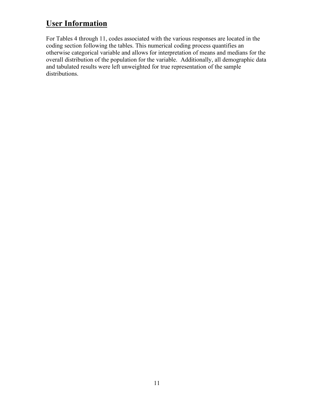## **User Information**

For Tables 4 through 11, codes associated with the various responses are located in the coding section following the tables. This numerical coding process quantifies an otherwise categorical variable and allows for interpretation of means and medians for the overall distribution of the population for the variable. Additionally, all demographic data and tabulated results were left unweighted for true representation of the sample distributions.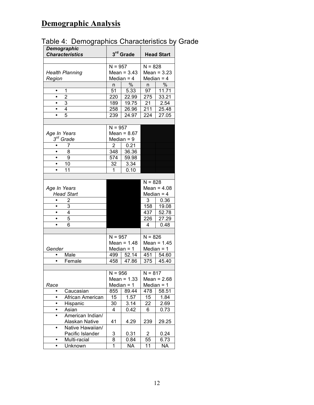# **Demographic Analysis**

|  |  | Table 4: Demographics Characteristics by Grade |  |  |
|--|--|------------------------------------------------|--|--|
|--|--|------------------------------------------------|--|--|

| <b>Demographic</b>          |                |                       |                         |               |  |
|-----------------------------|----------------|-----------------------|-------------------------|---------------|--|
| <b>Characteristics</b>      |                | 3 <sup>rd</sup> Grade | <b>Head Start</b>       |               |  |
|                             |                |                       |                         |               |  |
|                             | $N = 957$      |                       | $N = 828$               |               |  |
| <b>Health Planning</b>      |                | Mean = $3.43$         |                         | Mean = $3.23$ |  |
| Region                      |                | Median $=$ 4          |                         | Median $=$ 4  |  |
|                             | n              | $\%$                  | n                       | $\%$          |  |
| 1<br>$\bullet$              | 51             | 5.33                  | 97                      | 11.71         |  |
| $\overline{2}$<br>$\bullet$ | 220            | 22.99                 | 275                     | 33.21         |  |
| 3<br>$\bullet$              | 189            | 19.75                 | 21                      | 2.54          |  |
| $\overline{4}$<br>$\bullet$ | 258            | 26.96                 | 211                     | 25.48         |  |
| 5                           | 239            | 24.97                 | 224                     | 27.05         |  |
|                             |                |                       |                         |               |  |
|                             | $N = 957$      |                       |                         |               |  |
| Age In Years                |                | Mean = $8.67$         |                         |               |  |
| $3^{rd}$ Grade              |                | Median $= 9$          |                         |               |  |
| 7<br>$\bullet$              | $\overline{2}$ | 0.21                  |                         |               |  |
| 8<br>$\bullet$              | 348            | 36.36                 |                         |               |  |
| 9<br>٠                      | 574            | 59.98                 |                         |               |  |
| 10<br>٠                     | 32             | 3.34                  |                         |               |  |
| 11<br>$\bullet$             | 1              | 0.10                  |                         |               |  |
|                             |                |                       |                         |               |  |
|                             |                |                       | $N = 828$               |               |  |
| Age In Years                |                |                       |                         | Mean = $4.08$ |  |
| <b>Head Start</b>           |                |                       |                         | Median $=$ 4  |  |
| 2<br>$\bullet$              |                |                       | 3                       | 0.36          |  |
| 3<br>$\bullet$              |                |                       | 158                     | 19.08         |  |
| 4<br>٠                      |                |                       | 437                     | 52.78         |  |
| 5<br>٠                      |                |                       | 226                     | 27.29         |  |
| 6<br>٠                      |                |                       | 4                       | 0.48          |  |
|                             |                |                       |                         |               |  |
|                             | $N = 957$      |                       | $N = 826$               |               |  |
|                             |                | Mean = $1.48$         |                         | Mean = $1.45$ |  |
| Gender                      | Median $= 1$   |                       | Median $= 1$            |               |  |
| Male                        | 499            | 52.14                 | 451                     | 54.60         |  |
| Female                      | 458            | 47.86                 | 375                     | 45.40         |  |
|                             |                |                       |                         |               |  |
|                             | $N = 956$      |                       | $N = 817$               |               |  |
|                             |                | Mean = $1.33$         |                         | Mean = $2.68$ |  |
| Race                        |                | Median $= 1$          |                         | Median $= 1$  |  |
| Caucasian                   | 855            | 89.44                 | 478                     | 58.51         |  |
| African American            | 15             | 1.57                  | 15                      | 1.84          |  |
| Hispanic                    | 30             | 3.14                  | 22                      | 2.69          |  |
| Asian                       | 4              | 0.42                  | 6                       | 0.73          |  |
| American Indian/            |                |                       |                         |               |  |
| Alaskan Native              | 41             | 4.29                  | 239                     | 29.25         |  |
| Native Hawaiian/            |                |                       |                         |               |  |
| Pacific Islander            | 3              | 0.31                  | $\overline{\mathbf{c}}$ | 0.24          |  |
| Multi-racial<br>٠           | 8              | 0.84                  | 55                      | 6.73          |  |
| Unknown<br>٠                | 1              | NA                    | 11                      | ΝA            |  |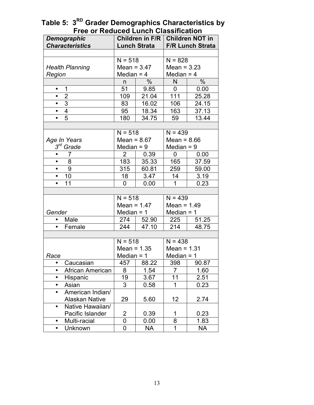| 1 1 66 61 1 1 66 66 67 6<br>-unvu<br>,,,,,,,,,,,,,,,,<br>Children in F/R  <br><b>Children NOT in</b><br><b>Demographic</b> |                        |                |                     |                         |       |
|----------------------------------------------------------------------------------------------------------------------------|------------------------|----------------|---------------------|-------------------------|-------|
|                                                                                                                            | <b>Characteristics</b> |                | <b>Lunch Strata</b> | <b>F/R Lunch Strata</b> |       |
|                                                                                                                            |                        |                |                     |                         |       |
|                                                                                                                            |                        | $N = 518$      |                     | $N = 828$               |       |
|                                                                                                                            | <b>Health Planning</b> | Mean = $3.47$  |                     | Mean = $3.23$           |       |
| Region                                                                                                                     |                        | Median $=$ 4   |                     | Median $=$ 4            |       |
|                                                                                                                            |                        | n              | %                   | N                       | $\%$  |
| $\bullet$                                                                                                                  | 1                      | 51             | 9.85                | 0                       | 0.00  |
| $\bullet$                                                                                                                  | $\overline{2}$         | 109            | 21.04               | $\overline{1}11$        | 25.28 |
| $\bullet$                                                                                                                  | $\overline{3}$         | 83             | 16.02               | 106                     | 24.15 |
| $\bullet$                                                                                                                  | $\overline{4}$         | 95             | 18.34               | 163                     | 37.13 |
| $\bullet$                                                                                                                  | $\overline{5}$         | 180            | 34.75               | 59                      | 13.44 |
|                                                                                                                            |                        |                |                     |                         |       |
|                                                                                                                            |                        | $N = 518$      |                     | $N = 439$               |       |
| Age In Years                                                                                                               |                        | Mean = $8.67$  |                     | $Mean = 8.66$           |       |
| $3^{rd}$ Grade                                                                                                             |                        | Median $= 9$   |                     | Median $= 9$            |       |
| $\bullet$                                                                                                                  | 7                      | $\overline{2}$ | 0.39                | 0                       | 0.00  |
| $\bullet$                                                                                                                  | 8                      | 183            | 35.33               | 165                     | 37.59 |
| $\bullet$                                                                                                                  | $\boldsymbol{9}$       | 315            | 60.81               | 259                     | 59.00 |
| $\bullet$                                                                                                                  | 10                     | 18             | 3.47                | 14                      | 3.19  |
| $\bullet$                                                                                                                  | 11                     | 0              | 0.00                | 1                       | 0.23  |
|                                                                                                                            |                        |                |                     |                         |       |
|                                                                                                                            |                        | $N = 518$      |                     | $N = 439$               |       |
|                                                                                                                            |                        | Mean = $1.47$  |                     | Mean = $1.49$           |       |
| Gender                                                                                                                     |                        | Median $= 1$   |                     | Median $= 1$            |       |
| $\bullet$                                                                                                                  | Male                   | 274            | 52.90               | 225                     | 51.25 |
| $\bullet$                                                                                                                  | Female                 | 244            | 47.10               | 214                     | 48.75 |
|                                                                                                                            |                        |                |                     |                         |       |
|                                                                                                                            |                        | $N = 518$      |                     | $N = 438$               |       |
|                                                                                                                            |                        | Mean = $1.35$  |                     | Mean = $1.31$           |       |
| Race                                                                                                                       |                        | Median $=$ 1   |                     | Median $= 1$            |       |
|                                                                                                                            | Caucasian              |                | 457   88.22         | 398                     | 90.87 |
| $\bullet$                                                                                                                  | African American       | 8              | 1.54                | $\overline{7}$          | 1.60  |
| $\bullet$                                                                                                                  | Hispanic               | 19             | 3.67                | 11                      | 2.51  |
| $\bullet$                                                                                                                  | Asian                  | 3              | 0.58                | 1                       | 0.23  |
| $\bullet$                                                                                                                  | American Indian/       |                |                     |                         |       |
|                                                                                                                            | <b>Alaskan Native</b>  | 29             | 5.60                | 12                      | 2.74  |
| $\bullet$                                                                                                                  | Native Hawaiian/       |                |                     |                         |       |
|                                                                                                                            | Pacific Islander       | $\overline{2}$ | 0.39                | 1                       | 0.23  |
| $\bullet$                                                                                                                  | Multi-racial           | 0              | 0.00                | 8                       | 1.83  |
| $\bullet$                                                                                                                  | Unknown                | 0              | NA                  | 1                       | NA    |

**Table 5: 3RD Grader Demographics Characteristics by Free or Reduced Lunch Classification**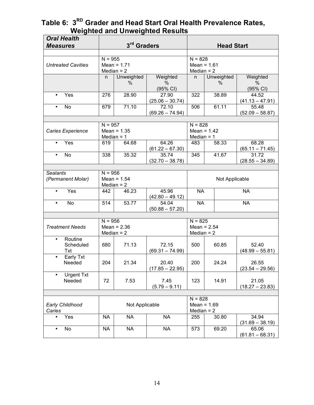#### **Table 6: 3RD Grader and Head Start Oral Health Prevalence Rates, Weighted and Unweighted Results**

| 3rd Graders<br>$N = 955$<br>$N = 828$<br>Mean = $1.71$<br>Mean = $1.61$<br><b>Untreated Cavities</b><br>Median $= 2$<br>Median $= 2$<br>Unweighted<br>Unweighted<br>Weighted<br>Weighted<br>n.<br>n.<br>$\%$<br>$\%$<br>%<br>$\%$<br>(95% CI)<br>(95% CI)<br>28.90<br>27.90<br>322<br>38.89<br>Yes<br>276<br>44.52<br>$\bullet$<br>$(25.06 - 30.74)$<br>$(41.13 - 47.91)$<br>71.10<br>61.11<br>No<br>679<br>72.10<br>506<br>55.48<br>$(69.26 - 74.94)$<br>$(52.09 - 58.87)$<br>$N = 957$<br>$N = 828$ |  |  |  |  |
|-------------------------------------------------------------------------------------------------------------------------------------------------------------------------------------------------------------------------------------------------------------------------------------------------------------------------------------------------------------------------------------------------------------------------------------------------------------------------------------------------------|--|--|--|--|
|                                                                                                                                                                                                                                                                                                                                                                                                                                                                                                       |  |  |  |  |
|                                                                                                                                                                                                                                                                                                                                                                                                                                                                                                       |  |  |  |  |
|                                                                                                                                                                                                                                                                                                                                                                                                                                                                                                       |  |  |  |  |
|                                                                                                                                                                                                                                                                                                                                                                                                                                                                                                       |  |  |  |  |
|                                                                                                                                                                                                                                                                                                                                                                                                                                                                                                       |  |  |  |  |
|                                                                                                                                                                                                                                                                                                                                                                                                                                                                                                       |  |  |  |  |
|                                                                                                                                                                                                                                                                                                                                                                                                                                                                                                       |  |  |  |  |
|                                                                                                                                                                                                                                                                                                                                                                                                                                                                                                       |  |  |  |  |
|                                                                                                                                                                                                                                                                                                                                                                                                                                                                                                       |  |  |  |  |
|                                                                                                                                                                                                                                                                                                                                                                                                                                                                                                       |  |  |  |  |
|                                                                                                                                                                                                                                                                                                                                                                                                                                                                                                       |  |  |  |  |
|                                                                                                                                                                                                                                                                                                                                                                                                                                                                                                       |  |  |  |  |
|                                                                                                                                                                                                                                                                                                                                                                                                                                                                                                       |  |  |  |  |
| Mean = $1.42$<br>Caries Experience<br>Mean = $1.35$                                                                                                                                                                                                                                                                                                                                                                                                                                                   |  |  |  |  |
| Median $= 1$<br>Median $= 1$                                                                                                                                                                                                                                                                                                                                                                                                                                                                          |  |  |  |  |
| 64.26<br>68.28<br>Yes<br>64.68<br>58.33<br>619<br>483<br>$\bullet$                                                                                                                                                                                                                                                                                                                                                                                                                                    |  |  |  |  |
| $(61.22 - 67.30)$<br>$(65.11 - 71.45)$<br>31.72                                                                                                                                                                                                                                                                                                                                                                                                                                                       |  |  |  |  |
| 35.32<br>41.67<br><b>No</b><br>338<br>35.74<br>345<br>$\bullet$                                                                                                                                                                                                                                                                                                                                                                                                                                       |  |  |  |  |
| $(32.70 - 38.78)$<br>$(28.55 - 34.89)$                                                                                                                                                                                                                                                                                                                                                                                                                                                                |  |  |  |  |
|                                                                                                                                                                                                                                                                                                                                                                                                                                                                                                       |  |  |  |  |
| <b>Sealants</b><br>$N = 956$                                                                                                                                                                                                                                                                                                                                                                                                                                                                          |  |  |  |  |
| (Permanent Molar)<br>Mean = $1.54$<br>Not Applicable<br>Median $= 2$                                                                                                                                                                                                                                                                                                                                                                                                                                  |  |  |  |  |
| Yes<br>46.23<br>45.96<br><b>NA</b><br><b>NA</b><br>442<br>$\bullet$                                                                                                                                                                                                                                                                                                                                                                                                                                   |  |  |  |  |
| $(42.80 - 49.12)$                                                                                                                                                                                                                                                                                                                                                                                                                                                                                     |  |  |  |  |
| 53.77<br><b>NA</b><br><b>NA</b><br>No<br>514<br>54.04<br>$\bullet$                                                                                                                                                                                                                                                                                                                                                                                                                                    |  |  |  |  |
| $(50.88 - 57.20)$                                                                                                                                                                                                                                                                                                                                                                                                                                                                                     |  |  |  |  |
|                                                                                                                                                                                                                                                                                                                                                                                                                                                                                                       |  |  |  |  |
| $N = 956$<br>$N = 825$                                                                                                                                                                                                                                                                                                                                                                                                                                                                                |  |  |  |  |
| Mean = $2.36$<br>Mean = $2.54$<br><b>Treatment Needs</b>                                                                                                                                                                                                                                                                                                                                                                                                                                              |  |  |  |  |
| Median $= 2$<br>Median $= 2$                                                                                                                                                                                                                                                                                                                                                                                                                                                                          |  |  |  |  |
| Routine<br>٠                                                                                                                                                                                                                                                                                                                                                                                                                                                                                          |  |  |  |  |
|                                                                                                                                                                                                                                                                                                                                                                                                                                                                                                       |  |  |  |  |
| 71.13<br>72.15<br>60.85<br>52.40<br>Scheduled<br>680<br>500                                                                                                                                                                                                                                                                                                                                                                                                                                           |  |  |  |  |
| $(69.31 - 74.99)$<br>$(48.99 - 55.81)$<br>Txt                                                                                                                                                                                                                                                                                                                                                                                                                                                         |  |  |  |  |
| Early Txt<br>$\bullet$                                                                                                                                                                                                                                                                                                                                                                                                                                                                                |  |  |  |  |
| 204<br>21.34<br>200<br>24.24<br>26.55<br>Needed<br>20.40                                                                                                                                                                                                                                                                                                                                                                                                                                              |  |  |  |  |
| $(17.85 - 22.95)$<br>$(23.54 - 29.56)$                                                                                                                                                                                                                                                                                                                                                                                                                                                                |  |  |  |  |
| <b>Urgent Txt</b><br>$\bullet$                                                                                                                                                                                                                                                                                                                                                                                                                                                                        |  |  |  |  |
| 72<br>7.53<br>7.45<br>123<br>14.91<br>21.05<br>Needed                                                                                                                                                                                                                                                                                                                                                                                                                                                 |  |  |  |  |
| $(5.79 - 9.11)$<br>$(18.27 - 23.83)$                                                                                                                                                                                                                                                                                                                                                                                                                                                                  |  |  |  |  |
|                                                                                                                                                                                                                                                                                                                                                                                                                                                                                                       |  |  |  |  |
| $N = 828$                                                                                                                                                                                                                                                                                                                                                                                                                                                                                             |  |  |  |  |
| Early Childhood<br>Not Applicable<br>Mean = $1.69$                                                                                                                                                                                                                                                                                                                                                                                                                                                    |  |  |  |  |
| Median $= 2$<br>Caries                                                                                                                                                                                                                                                                                                                                                                                                                                                                                |  |  |  |  |
| Yes<br><b>NA</b><br><b>NA</b><br><b>NA</b><br>34.94<br>255<br>30.80<br>$\bullet$                                                                                                                                                                                                                                                                                                                                                                                                                      |  |  |  |  |
| $(31.69 - 38.19)$<br><b>NA</b><br><b>NA</b><br>69.20<br>No<br><b>NA</b><br>573<br>65.06<br>$\bullet$                                                                                                                                                                                                                                                                                                                                                                                                  |  |  |  |  |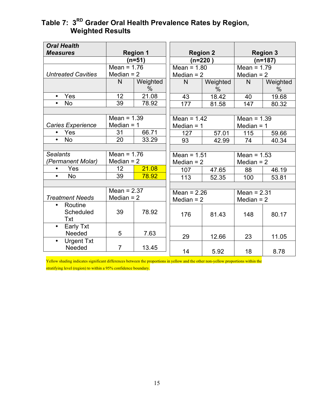#### **Table 7: 3RD Grader Oral Health Prevalence Rates by Region, Weighted Results**

| <b>Oral Health</b><br><b>Measures</b>    |                               | <b>Region 1</b>  | <b>Region 2</b>               |                  |                               | <b>Region 3</b>           |  |
|------------------------------------------|-------------------------------|------------------|-------------------------------|------------------|-------------------------------|---------------------------|--|
|                                          |                               | $(n=51)$         | $(n=220)$                     |                  | $(n=187)$                     |                           |  |
|                                          | Mean = $1.76$                 |                  | Mean = $1.80$                 |                  | Mean = $1.79$                 |                           |  |
| <b>Untreated Cavities</b>                | Median $= 2$                  |                  |                               | Median $= 2$     |                               | Median $= 2$              |  |
|                                          | $\mathsf{N}$                  | Weighted<br>$\%$ | N                             | Weighted<br>$\%$ | $\mathsf{N}$                  | Weighted<br>$\frac{0}{0}$ |  |
| Yes<br>$\bullet$                         | 12                            | 21.08            | 43                            | 18.42            | 40                            | 19.68                     |  |
| No                                       | 39                            | 78.92            | 177                           | 81.58            | 147                           | 80.32                     |  |
|                                          |                               |                  |                               |                  |                               |                           |  |
|                                          | Mean = $1.39$                 |                  | Mean = $1.42$                 |                  | Mean = $1.39$                 |                           |  |
| <b>Caries Experience</b>                 | Median $= 1$                  |                  | Median $= 1$                  |                  | Median $= 1$                  |                           |  |
| Yes                                      | 31                            | 66.71            | 127                           | 57.01            | 115                           | 59.66                     |  |
| <b>No</b><br>$\bullet$                   | 20                            | 33.29            | 93                            | 42.99            | 74                            | 40.34                     |  |
|                                          |                               |                  |                               |                  |                               |                           |  |
| <b>Sealants</b>                          | Mean = $1.76$                 |                  | Mean = $1.51$                 |                  | Mean = $1.53$                 |                           |  |
| 'Permanent Molar)                        | Median $= 2$                  |                  | Median $= 2$                  |                  | Median $= 2$                  |                           |  |
| Yes<br>$\bullet$                         | 12                            | 21.08            | 107                           | 47.65            | 88                            | 46.19                     |  |
| <b>No</b><br>$\bullet$                   | 39                            | 78.92            | 113                           | 52.35            | 100                           | 53.81                     |  |
|                                          |                               |                  |                               |                  |                               |                           |  |
| <b>Treatment Needs</b>                   | Mean = $2.37$<br>Median $= 2$ |                  | Mean = $2.26$<br>Median $= 2$ |                  | Mean $= 2.31$<br>Median $= 2$ |                           |  |
| Routine<br>$\bullet$<br>Scheduled<br>Txt | 39                            | 78.92            | 176                           | 81.43            | 148                           | 80.17                     |  |
| Early Txt<br>$\bullet$<br>Needed         | 5                             | 7.63             | 29                            | 12.66            | 23                            | 11.05                     |  |
| <b>Urgent Txt</b><br>$\bullet$<br>Needed | $\overline{7}$                | 13.45            | 14                            | 5.92             | 18                            | 8.78                      |  |

Yellow shading indicates significant differences between the proportions in yellow and the other non-yellow proportions within the stratifying level (region) to within a 95% confidence boundary.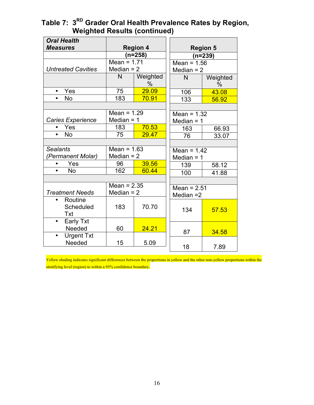|               | $\%$           |                                                                                                                                                      | Weighted<br>$\%$                                                                                                              |  |
|---------------|----------------|------------------------------------------------------------------------------------------------------------------------------------------------------|-------------------------------------------------------------------------------------------------------------------------------|--|
|               | 29.09          | 106                                                                                                                                                  | 43.08                                                                                                                         |  |
| 183           | 70.91          | 133                                                                                                                                                  | 56.92                                                                                                                         |  |
|               |                |                                                                                                                                                      |                                                                                                                               |  |
|               |                | Mean = $1.32$                                                                                                                                        |                                                                                                                               |  |
|               |                | Median $= 1$                                                                                                                                         |                                                                                                                               |  |
| 183           | 70.53          | 163                                                                                                                                                  | 66.93                                                                                                                         |  |
| 75            | 29.47          | 76                                                                                                                                                   | 33.07                                                                                                                         |  |
|               |                |                                                                                                                                                      |                                                                                                                               |  |
|               |                | Mean = $1.42$                                                                                                                                        |                                                                                                                               |  |
|               |                | Median $= 1$                                                                                                                                         |                                                                                                                               |  |
| 96            | 39.56          | 139                                                                                                                                                  | 58.12                                                                                                                         |  |
|               |                |                                                                                                                                                      | 41.88                                                                                                                         |  |
|               |                |                                                                                                                                                      |                                                                                                                               |  |
| Mean = $2.35$ |                |                                                                                                                                                      |                                                                                                                               |  |
| Median $= 2$  |                |                                                                                                                                                      |                                                                                                                               |  |
|               |                |                                                                                                                                                      |                                                                                                                               |  |
| 183           | 70.70          |                                                                                                                                                      | 57.53                                                                                                                         |  |
|               |                |                                                                                                                                                      |                                                                                                                               |  |
|               |                |                                                                                                                                                      |                                                                                                                               |  |
| 60            | 24.21          |                                                                                                                                                      | 34.58                                                                                                                         |  |
|               |                |                                                                                                                                                      |                                                                                                                               |  |
| 15            | 5.09           |                                                                                                                                                      | 7.89                                                                                                                          |  |
|               | N<br>75<br>162 | <b>Region 4</b><br>$(n=258)$<br>Mean = $1.71$<br>Median $= 2$<br>Weighted<br>Mean = $1.29$<br>Median $=$ 1<br>Mean = $1.63$<br>Median $= 2$<br>60.44 | <b>Region 5</b><br>$(n=239)$<br>Mean = $1.56$<br>Median $= 2$<br>N<br>100<br>Mean = $2.51$<br>Median $=$ 2<br>134<br>87<br>18 |  |

#### **Table 7: 3RD Grader Oral Health Prevalence Rates by Region, Weighted Results (continued)**

Yellow shading indicates significant differences between the proportions in yellow and the other non-yellow proportions within the stratifying level (region) to within a 95% confidence boundary.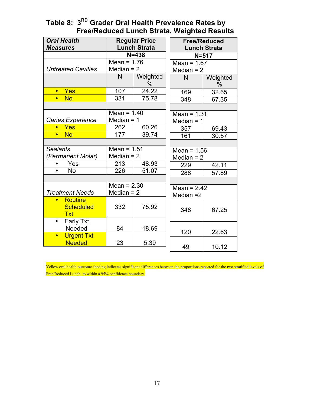| <b>Oral Health</b><br><b>Measures</b>           |                               | <b>Regular Price</b><br><b>Lunch Strata</b> | <b>Free/Reduced</b><br><b>Lunch Strata</b> |                  |  |
|-------------------------------------------------|-------------------------------|---------------------------------------------|--------------------------------------------|------------------|--|
|                                                 |                               | $N = 438$                                   |                                            | $N = 517$        |  |
|                                                 | Mean = $1.76$                 |                                             | Mean = $1.67$                              |                  |  |
| <b>Untreated Cavities</b>                       | Median $= 2$                  |                                             | Median $= 2$                               |                  |  |
|                                                 | N                             | Weighted<br>%                               | N                                          | Weighted<br>$\%$ |  |
| Yes<br>$\bullet$                                | 107                           | 24.22                                       | 169                                        | 32.65            |  |
| <b>No</b><br>$\bullet$                          | 331                           | 75.78                                       | 348                                        | 67.35            |  |
|                                                 |                               |                                             |                                            |                  |  |
|                                                 | Mean = $1.40$                 |                                             | Mean $= 1.31$                              |                  |  |
| <b>Caries Experience</b>                        | Median $= 1$                  |                                             | Median $= 1$                               |                  |  |
| <b>Yes</b><br>$\bullet$                         | 262                           | 60.26                                       | 357                                        | 69.43            |  |
| <b>No</b><br>$\bullet$                          | 177                           | 39.74                                       | 161                                        | 30.57            |  |
|                                                 |                               |                                             |                                            |                  |  |
| <b>Sealants</b>                                 | Mean = $1.51$                 |                                             | Mean = $1.56$                              |                  |  |
| (Permanent Molar)                               | Median $= 2$                  |                                             | Median $= 2$                               |                  |  |
| Yes<br>$\bullet$                                | 213                           | 48.93                                       | 229                                        | 42.11            |  |
| <b>No</b>                                       | 226                           | 51.07                                       | 288                                        | 57.89            |  |
|                                                 |                               |                                             |                                            |                  |  |
| <b>Treatment Needs</b>                          | Mean = $2.30$<br>Median $= 2$ |                                             | Mean = $2.42$<br>Median $=2$               |                  |  |
| <b>Routine</b><br><b>Scheduled</b><br>Txt       | 332                           | 75.92                                       | 348                                        | 67.25            |  |
| <b>Early Txt</b><br>$\bullet$<br>Needed         | 84                            | 18.69                                       | 120                                        | 22.63            |  |
| <b>Urgent Txt</b><br>$\bullet$<br><b>Needed</b> | 23                            | 5.39                                        | 49                                         | 10.12            |  |

#### **Table 8: 3RD Grader Oral Health Prevalence Rates by Free/Reduced Lunch Strata, Weighted Results**

Yellow oral health outcome shading indicates significant differences between the proportions reported for the two stratified levels of Free/Reduced Lunch to within a 95% confidence boundary.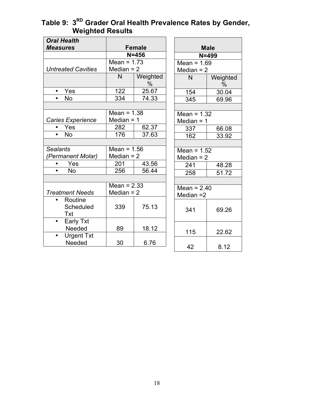#### **Table 9: 3RD Grader Oral Health Prevalence Rates by Gender, Weighted Results**

| <b>Oral Health</b>             |               |                  |               |                  |
|--------------------------------|---------------|------------------|---------------|------------------|
| <b>Measures</b>                | <b>Female</b> |                  |               | <b>Male</b>      |
|                                | $N = 456$     |                  | $N = 499$     |                  |
|                                | Mean = $1.73$ |                  | Mean = $1.69$ |                  |
| <b>Untreated Cavities</b>      | Median $= 2$  |                  | Median $= 2$  |                  |
|                                | N             | Weighted<br>$\%$ | N             | Weighted<br>$\%$ |
| Yes<br>$\bullet$               | 122           | 25.67            | 154           | 30.04            |
| <b>No</b><br>$\bullet$         | 334           | 74.33            | 345           | 69.96            |
|                                |               |                  |               |                  |
|                                | Mean = $1.38$ |                  | Mean = $1.32$ |                  |
| <b>Caries Experience</b>       | Median $= 1$  |                  | Median $= 1$  |                  |
| Yes                            | 282           | 62.37            | 337           | 66.08            |
| No<br>$\bullet$                | 176           | 37.63            | 162           | 33.92            |
|                                |               |                  |               |                  |
| <b>Sealants</b>                | Mean = $1.56$ |                  | Mean = $1.52$ |                  |
| 'Permanent Molar)              | Median $= 2$  |                  | Median $= 2$  |                  |
| Yes<br>$\bullet$               | 201           | 43.56            | 241           | 48.28            |
| <b>No</b><br>$\bullet$         | 256           | 56.44            | 258           | 51.72            |
|                                |               |                  |               |                  |
|                                | Mean $= 2.33$ |                  | Mean = $2.40$ |                  |
| <b>Treatment Needs</b>         | Median $= 2$  |                  | Median $=2$   |                  |
| Routine                        |               |                  |               |                  |
| Scheduled                      | 339           | 75.13            | 341           | 69.26            |
| Txt                            |               |                  |               |                  |
| <b>Early Txt</b><br>$\bullet$  |               |                  |               |                  |
| Needed                         | 89            | 18.12            | 115           | 22.62            |
| <b>Urgent Txt</b><br>$\bullet$ |               |                  |               |                  |
| Needed                         | 30            | 6.76             | 42            |                  |
|                                |               |                  |               | 8.12             |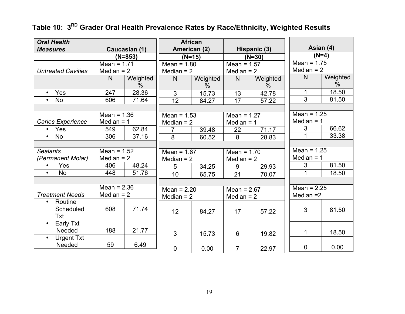| <b>Oral Health</b>             |               |               | <b>African</b>  |               |                 |          | Asian (4)      |               |
|--------------------------------|---------------|---------------|-----------------|---------------|-----------------|----------|----------------|---------------|
| <b>Measures</b>                |               | Caucasian (1) | American (2)    |               | Hispanic (3)    |          | $(N=4)$        |               |
|                                |               | $(N=853)$     |                 | $(N=15)$      |                 | $(N=30)$ | Mean = $1.75$  |               |
|                                | Mean = $1.71$ |               | Mean = $1.80$   |               | Mean = $1.57$   |          |                |               |
| <b>Untreated Cavities</b>      | Median $= 2$  |               | Median $= 2$    |               | Median $= 2$    |          | Median $= 2$   |               |
|                                | N             | Weighted      | $\mathsf{N}$    | Weighted      | N               | Weighted | N              | Weighted      |
|                                |               | $\%$          |                 | $\frac{0}{0}$ |                 | $\%$     |                | $\frac{0}{0}$ |
| Yes<br>$\bullet$               | 247           | 28.36         | 3               | 15.73         | 13              | 42.78    |                | 18.50         |
| <b>No</b><br>$\bullet$         | 606           | 71.64         | $\overline{12}$ | 84.27         | $\overline{17}$ | 57.22    | $\overline{3}$ | 81.50         |
|                                |               |               |                 |               |                 |          |                |               |
|                                | Mean = $1.36$ |               | Mean = $1.53$   |               | Mean = $1.27$   |          | Mean = $1.25$  |               |
| Caries Experience              | Median $= 1$  |               | Median $= 2$    |               | Median $= 1$    |          | Median $= 1$   |               |
| Yes                            | 549           | 62.84         | $\overline{7}$  | 39.48         | 22              | 71.17    | 3              | 66.62         |
| <b>No</b><br>$\bullet$         | 306           | 37.16         | 8               | 60.52         | 8               | 28.83    |                | 33.38         |
|                                |               |               |                 |               |                 |          |                |               |
| <b>Sealants</b>                | Mean = $1.52$ |               | Mean = $1.67$   |               | Mean = $1.70$   |          | Mean = $1.25$  |               |
| (Permanent Molar)              | Median $= 2$  |               | Median $= 2$    |               | Median $= 2$    |          | Median $= 1$   |               |
| Yes<br>$\bullet$               | 406           | 48.24         | 5               | 34.25         | 9               | 29.93    | 3              | 81.50         |
| <b>No</b><br>$\bullet$         | 448           | 51.76         | 10              | 65.75         | 21              | 70.07    | 1              | 18.50         |
|                                |               |               |                 |               |                 |          |                |               |
|                                | Mean $= 2.36$ |               | Mean = $2.20$   |               | Mean = $2.67$   |          | Mean = $2.25$  |               |
| <b>Treatment Needs</b>         | Median $= 2$  |               | Median $= 2$    |               | Median $= 2$    |          | Median $=$ 2   |               |
| Routine<br>$\bullet$           |               |               |                 |               |                 |          |                |               |
| Scheduled                      | 608           | 71.74         | 12              | 84.27         | 17              | 57.22    | 3              | 81.50         |
| Txt                            |               |               |                 |               |                 |          |                |               |
| Early Txt<br>$\bullet$         |               |               |                 |               |                 |          |                |               |
| Needed                         | 188           | 21.77         |                 |               |                 |          | 1              | 18.50         |
| <b>Urgent Txt</b><br>$\bullet$ |               |               | 3               | 15.73         | 6               | 19.82    |                |               |
| Needed                         | 59            | 6.49          |                 |               |                 |          |                |               |
|                                |               |               | $\mathbf 0$     | 0.00          | $\overline{7}$  | 22.97    | $\mathbf 0$    | 0.00          |

# **Table 10: 3RD Grader Oral Health Prevalence Rates by Race/Ethnicity, Weighted Results**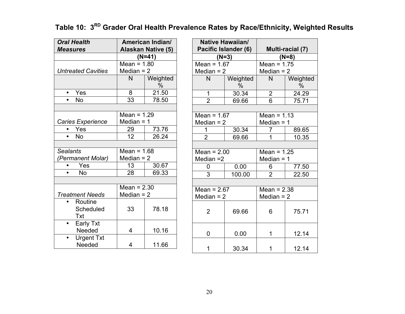**Table 10: 3RD Grader Oral Health Prevalence Rates by Race/Ethnicity, Weighted Results**

| <b>Oral Health</b><br><b>Measures</b> | American Indian/<br><b>Alaskan Native (5)</b> |               |  |
|---------------------------------------|-----------------------------------------------|---------------|--|
|                                       |                                               | (N=41)        |  |
|                                       | Mean = $1.80$                                 |               |  |
| <b>Untreated Cavities</b>             | Median $= 2$                                  |               |  |
|                                       | N                                             | Weighted<br>% |  |
| Yes<br>$\bullet$                      | 8                                             | 21.50         |  |
| No                                    | 33                                            | 78.50         |  |
|                                       |                                               |               |  |
|                                       | Mean = $1.29$                                 |               |  |
| Caries Experience                     | Median = $1$                                  |               |  |
| Yes                                   | 29                                            | 73.76         |  |
| No                                    | 12                                            | 26.24         |  |
|                                       |                                               |               |  |
| <b>Sealants</b>                       | Mean = $1.68$                                 |               |  |
| (Permanent Molar)                     | Median $= 2$                                  |               |  |
| Yes                                   | 13                                            | 30.67         |  |
| No                                    | 28                                            | 69.33         |  |
|                                       |                                               |               |  |
|                                       | Mean = $2.30$                                 |               |  |
| <b>Treatment Needs</b>                | Median $= 2$                                  |               |  |
| Routine                               |                                               |               |  |
| Scheduled                             | 33                                            | 78.18         |  |
| Txt                                   |                                               |               |  |
| <b>Early Txt</b>                      |                                               |               |  |
| Needed                                | 4                                             | 10.16         |  |
| <b>Urgent Txt</b>                     |                                               |               |  |
| Needed                                | 4                                             | 11.66         |  |

| Pacific Islander (6)          | Native Hawaiian/ |                               | Multi-racial (7) |  |
|-------------------------------|------------------|-------------------------------|------------------|--|
| $(N=3)$                       |                  | $(N=8)$                       |                  |  |
| Mean = $1.67$                 |                  | Mean = $1.75$                 |                  |  |
| Median $= 2$                  |                  | Median $= 2$                  |                  |  |
| N                             | Weighted<br>%    | N                             | Weighted<br>$\%$ |  |
| 1                             | 30.34            | $\overline{2}$                | 24.29            |  |
| $\overline{2}$                | 69.66            | 6                             | 75.71            |  |
|                               |                  |                               |                  |  |
| Mean = $1.67$                 |                  | Mean = $1.13$                 |                  |  |
| Median $= 2$                  |                  | Median $=$ 1                  |                  |  |
| 1                             | 30.34            | 7                             | 89.65            |  |
| $\overline{2}$                | 69.66            | 1                             | 10.35            |  |
|                               |                  |                               |                  |  |
| Mean = $2.00$                 |                  | Mean = $1.25$                 |                  |  |
| Median =2                     |                  | Median $=$ 1                  |                  |  |
| 0                             | 0.00             | 6                             | 77.50            |  |
| 3                             | 100.00           | $\overline{2}$                | 22.50            |  |
|                               |                  |                               |                  |  |
| Mean = $2.67$<br>Median $= 2$ |                  | Mean = $2.38$<br>Median $= 2$ |                  |  |
| $\overline{2}$                | 69.66            | 6                             | 75.71            |  |
| 0                             | 0.00             | 1                             | 12.14            |  |
| 1                             | 30.34            | 1                             | 12.14            |  |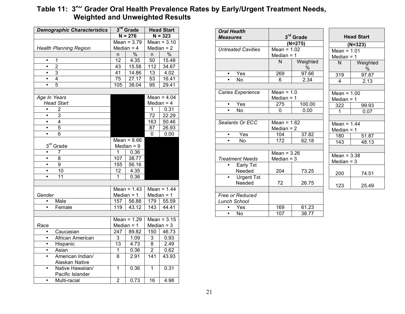#### Table 11: 3<sup>ru</sup> Grader Oral Health Prevalence Rates by Early/Urgent Treatment Needs, **Weighted and Unweighted Results**

| <b>Demographic Characteristics</b> | 3 <sup>rd</sup> Grade |               | <b>Head Start</b> |                          |
|------------------------------------|-----------------------|---------------|-------------------|--------------------------|
|                                    | $N = 276$             |               | $N = 323$         |                          |
|                                    |                       | Mean = $3.79$ |                   | Mean = $3.10$            |
| <b>Health Planning Region</b>      |                       | Median $=$ 4  |                   | Median $= 2$             |
|                                    | n                     | $\frac{1}{2}$ | n                 | $\frac{1}{2}$            |
| $\mathbf{1}$<br>$\bullet$          | 12                    | 4.35          | 50                | 15.48                    |
| $\overline{2}$<br>$\bullet$        | 43                    | 15.58         | 112               | 34.67                    |
| $\overline{3}$<br>$\bullet$        | 41                    | 14.86         | 13                | 4.02                     |
| 4<br>٠                             | 75                    | 27.17         | 53                | 16.41                    |
| 5<br>$\bullet$                     | 105                   | 38.04         | 95                | 29.41                    |
|                                    |                       |               |                   |                          |
| Age In Years                       |                       |               |                   | Mean = $4.\overline{04}$ |
| <b>Head Start</b>                  |                       |               |                   | Median $=$ 4             |
| $\bullet$<br>$\overline{2}$        |                       |               | 1                 | 0.31                     |
| 3                                  |                       |               | 72                | 22.29                    |
| $\overline{4}$<br>$\bullet$        |                       |               | 163               | 50.46                    |
| 5<br>٠                             |                       |               | 87                | 26.93                    |
| 6<br>٠                             |                       |               | 0                 | 0.00                     |
|                                    |                       | Mean = $8.66$ |                   |                          |
| 3 <sup>rd</sup> Grade              |                       | Median $= 9$  |                   |                          |
| $\bullet$<br>7                     | 1                     | 0.36          |                   |                          |
| 8                                  | 107                   | 38.77         |                   |                          |
| 9<br>$\bullet$                     | 155                   | 56.16         |                   |                          |
| 10                                 | 12                    | 4.35          |                   |                          |
| $\overline{11}$<br>$\bullet$       | 1                     | 0.36          |                   |                          |
|                                    |                       |               |                   |                          |
|                                    |                       | Mean = $1.43$ |                   | Mean = $1.44$            |
| Gender                             |                       | Median $= 1$  |                   | Median $= 1$             |
| Male                               | 157                   | 56.88         | 179               | 55.59                    |
| $\bullet$<br>Female                | 119                   | 43.12         | 143               | 44.41                    |
|                                    |                       |               |                   |                          |
|                                    |                       | Mean = $1.29$ |                   | Mean = $3.15$            |
| Race                               |                       | Median $= 1$  |                   | Median $=$ 3             |
| Caucasian<br>$\bullet$             | 247                   | 89.82         | 150               | 46.73                    |
| African American<br>$\bullet$      | 3                     | 1.09          | 3                 | 0.93                     |
| Hispanic                           | 13                    | 4.73          | 8                 | 2.49                     |
| Asian<br>٠                         | 1                     | 0.36          | $\overline{2}$    | 0.62                     |
| American Indian/                   | 8                     | 2.91          | 141               | 43.93                    |
| Alaskan Native                     |                       |               |                   |                          |
| Native Hawaiian/<br>٠              | 1                     | 0.36          | 1                 | 0.31                     |
| Pacific Islander                   |                       |               |                   |                          |
| Multi-racial                       | $\overline{2}$        | 0.73          | 16                | 4.98                     |

| <b>Oral Health</b>             |               |                       |                |  |
|--------------------------------|---------------|-----------------------|----------------|--|
| <b>Measures</b>                |               | 3 <sup>rd</sup> Grade |                |  |
|                                |               | $(N=275)$             |                |  |
| <b>Untreated Cavities</b>      | Mean = $1.02$ |                       | Me             |  |
|                                | Median $= 1$  |                       | Me             |  |
|                                | N             | Weighted<br>%         | ľ              |  |
| Yes<br>$\bullet$               | 269           | 97.66                 | 3 <sup>7</sup> |  |
| No.                            | 6             | 2.34                  |                |  |
|                                |               |                       |                |  |
| <b>Caries Experience</b>       | Mean = $1.0$  |                       | Me             |  |
|                                | Median $= 1$  |                       | Me             |  |
| Yes                            | 275           | 100.00                | 3,             |  |
| No                             | 0             | 0.00                  |                |  |
|                                |               |                       |                |  |
| Sealants Or ECC                | Mean = $1.62$ |                       | Me             |  |
|                                | Median $= 2$  |                       | Me             |  |
| Yes                            | 104           | 37.82                 | 18             |  |
| No                             | 172           | 62.18                 | 1 <sub>4</sub> |  |
|                                |               |                       |                |  |
|                                | Mean = $3.26$ |                       | Me             |  |
| <b>Treatment Needs</b>         | Median $=$ 3  |                       | Me             |  |
| Early Txt                      |               |                       |                |  |
| Needed                         | 204           | 73.25                 | 2(             |  |
| <b>Urgent Txt</b><br>$\bullet$ |               |                       |                |  |
| Needed                         | 72            | 26.75                 | 1'             |  |
|                                |               |                       |                |  |
| <b>Free or Reduced</b>         |               |                       |                |  |
| Lunch School                   |               |                       |                |  |
| Yes                            | 169           | 61.23                 |                |  |
| No                             | 107           | 38.77                 |                |  |
|                                |               |                       |                |  |

| <b>Head Start</b>        |  |  |  |  |
|--------------------------|--|--|--|--|
| (N=323)                  |  |  |  |  |
| Mean = $1.01$            |  |  |  |  |
| Median = 1               |  |  |  |  |
| Weighted                 |  |  |  |  |
| ℅                        |  |  |  |  |
| 97.87                    |  |  |  |  |
| 2.13                     |  |  |  |  |
|                          |  |  |  |  |
| Mean = $1.00$            |  |  |  |  |
| Median = 1               |  |  |  |  |
| 99.93                    |  |  |  |  |
| $\overline{0.07}$        |  |  |  |  |
|                          |  |  |  |  |
| Mean = $1.44$            |  |  |  |  |
| Median = 1               |  |  |  |  |
| 51.87                    |  |  |  |  |
| 48.13                    |  |  |  |  |
|                          |  |  |  |  |
| Mean = $3.\overline{38}$ |  |  |  |  |
| Median = 3               |  |  |  |  |
|                          |  |  |  |  |
| 74.51                    |  |  |  |  |
|                          |  |  |  |  |
| 25.49                    |  |  |  |  |
|                          |  |  |  |  |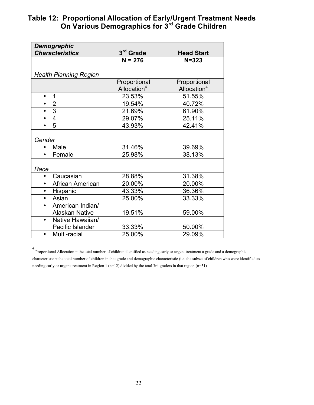#### **Table 12: Proportional Allocation of Early/Urgent Treatment Needs On Various Demographics for 3rd Grade Children**

| <b>Demographic</b>            |                         |                   |
|-------------------------------|-------------------------|-------------------|
| <b>Characteristics</b>        | 3rd Grade               | <b>Head Start</b> |
|                               | $N = 276$               | $N = 323$         |
|                               |                         |                   |
| <b>Health Planning Region</b> |                         |                   |
|                               | Proportional            | Proportional      |
|                               | Allocation <sup>4</sup> | Allocation $4$    |
| 1<br>$\bullet$                | 23.53%                  | 51.55%            |
| $\overline{2}$<br>$\bullet$   | 19.54%                  | 40.72%            |
| 3<br>$\bullet$                | 21.69%                  | 61.90%            |
| $\overline{4}$                | 29.07%                  | 25.11%            |
| 5                             | 43.93%                  | 42.41%            |
|                               |                         |                   |
| Gender                        |                         |                   |
| Male                          | 31.46%                  | 39.69%            |
| Female<br>$\bullet$           | 25.98%                  | 38.13%            |
|                               |                         |                   |
| Race                          |                         |                   |
| Caucasian<br>$\bullet$        | 28.88%                  | 31.38%            |
| African American<br>$\bullet$ | 20.00%                  | 20.00%            |
| Hispanic<br>$\bullet$         | 43.33%                  | 36.36%            |
| Asian<br>$\bullet$            | 25.00%                  | 33.33%            |
| American Indian/<br>$\bullet$ |                         |                   |
| <b>Alaskan Native</b>         | 19.51%                  | 59.00%            |
| Native Hawaiian/<br>$\bullet$ |                         |                   |
| Pacific Islander              | 33.33%                  | 50.00%            |
| Multi-racial<br>$\bullet$     | 25.00%                  | 29.09%            |

4 Proportional Allocation = the total number of children identified as needing early or urgent treatment a grade and a demographic characteristic ÷ the total number of children in that grade and demographic characteristic (i.e. the subset of children who were identified as needing early or urgent treatment in Region 1 (n=12) divided by the total 3rd graders in that region (n=51)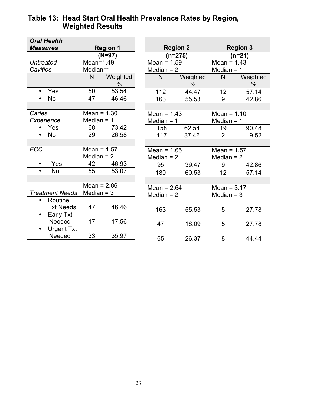#### **Table 13: Head Start Oral Health Prevalence Rates by Region, Weighted Results**

| <b>Oral Health</b>     |               |                 |
|------------------------|---------------|-----------------|
| <b>Measures</b>        |               | <b>Region 1</b> |
|                        |               | $(N=97)$        |
| Untreated              | Mean=1.49     |                 |
| <b>Cavities</b>        | Median=1      |                 |
|                        | N             | Weighted<br>%   |
| Yes                    | 50            | 53.54           |
| No                     | 47            | 46.46           |
|                        |               |                 |
| Caries                 | Mean = $1.30$ |                 |
| <b>Experience</b>      | Median = 1    |                 |
| Yes                    | 68            | 73.42           |
| <b>No</b>              | 29            | 26.58           |
|                        |               |                 |
| <b>ECC</b>             | Mean = $1.57$ |                 |
|                        | Median = $2$  |                 |
| Yes<br>$\bullet$       | 42            | 46.93           |
| No                     | 55            | 53.07           |
|                        |               |                 |
|                        | Mean = $2.86$ |                 |
| <b>Treatment Needs</b> | Median $=$ 3  |                 |
| Routine                |               |                 |
| <b>Txt Needs</b>       | 47            | 46.46           |
| <b>Early Txt</b>       |               |                 |
| Needed                 | 17            | 17.56           |
| <b>Urgent Txt</b>      |               |                 |
| Needed                 | 33            | 35.97           |

| <b>Region 2</b> |                  |                | <b>Region 3</b>  |  |
|-----------------|------------------|----------------|------------------|--|
|                 | $(n=275)$        | $(n=21)$       |                  |  |
| Mean = $1.59$   |                  | Mean = $1.43$  |                  |  |
| Median $= 2$    |                  | Median $= 1$   |                  |  |
| N               | Weighted<br>$\%$ | N              | Weighted<br>$\%$ |  |
| 112             | 44.47            | 12             | 57.14            |  |
| 163             | 55.53            | 9              | 42.86            |  |
|                 |                  |                |                  |  |
| Mean = $1.43$   |                  | Mean = $1.10$  |                  |  |
| Median $=$ 1    |                  | Median $=$ 1   |                  |  |
| 158             | 62.54            | 19             | 90.48            |  |
| 117             | 37.46            | $\overline{2}$ | 9.52             |  |
|                 |                  |                |                  |  |
| Mean = $1.65$   |                  | Mean = $1.57$  |                  |  |
| Median $= 2$    |                  | Median $= 2$   |                  |  |
| 95              | 39.47            | 9              | 42.86            |  |
| 180             | 60.53            | 12             | 57.14            |  |
|                 |                  |                |                  |  |
| Mean = $2.64$   |                  | Mean = $3.17$  |                  |  |
| Median $= 2$    |                  | Median $=$ 3   |                  |  |
|                 |                  |                |                  |  |
| 163             | 55.53            | 5              | 27.78            |  |
| 47              | 18.09            | 5              | 27.78            |  |
| 65              | 26.37            | 8              | 44.44            |  |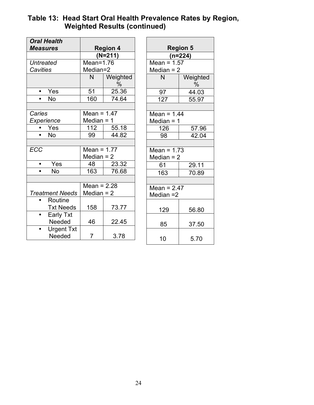#### **Table 13: Head Start Oral Health Prevalence Rates by Region, Weighted Results (continued)**

| <b>Oral Health</b>     |                 |               |  |
|------------------------|-----------------|---------------|--|
| <b>Measures</b>        | <b>Region 4</b> |               |  |
|                        |                 | $(N=211)$     |  |
| Untreated              | $Mean=1.76$     |               |  |
| Cavities               | Median=2        |               |  |
|                        | N               | Weighted<br>% |  |
| Yes                    | 51              | 25.36         |  |
| No                     | 160             | 74.64         |  |
|                        |                 |               |  |
| Caries                 | Mean = $1.47$   |               |  |
| Experience             | Median = $1$    |               |  |
| Yes                    | 112             | 55.18         |  |
| No                     | 99              | 44.82         |  |
|                        |                 |               |  |
| <b>ECC</b>             | Mean = $1.77$   |               |  |
|                        | Median = $2$    |               |  |
| Yes                    | 48              | 23.32         |  |
| No                     | 163             | 76.68         |  |
|                        |                 |               |  |
|                        | Mean = $2.28$   |               |  |
| <b>Treatment Needs</b> | Median = $2$    |               |  |
| Routine                |                 |               |  |
| <b>Txt Needs</b>       | 158             | 73.77         |  |
| <b>Early Txt</b>       |                 |               |  |
| Needed                 | 46              | 22.45         |  |
| <b>Urgent Txt</b>      |                 |               |  |
| Needed                 | $\overline{7}$  | 3.78          |  |

| <b>Region 5</b>            |                  |  |  |  |
|----------------------------|------------------|--|--|--|
|                            | (n=224)          |  |  |  |
| Mean = $1.57$              |                  |  |  |  |
| Median = 2                 |                  |  |  |  |
| N                          | Weighted<br>$\%$ |  |  |  |
| $\frac{97}{127}$           | 44.03            |  |  |  |
|                            | 55.97            |  |  |  |
|                            |                  |  |  |  |
| Mean = $1.44$              |                  |  |  |  |
| Median = 1                 |                  |  |  |  |
| 126                        | 57.96            |  |  |  |
| 98                         | 42.04            |  |  |  |
|                            |                  |  |  |  |
| Mean = $1.73$              |                  |  |  |  |
| Median = $2$               |                  |  |  |  |
| 61                         | 29.11            |  |  |  |
| 163                        | 70.89            |  |  |  |
|                            |                  |  |  |  |
| Mean = $2.47$<br>Median =2 |                  |  |  |  |
| 129                        | 56.80            |  |  |  |
| 85                         | 37.50            |  |  |  |
| 10                         | 5.70             |  |  |  |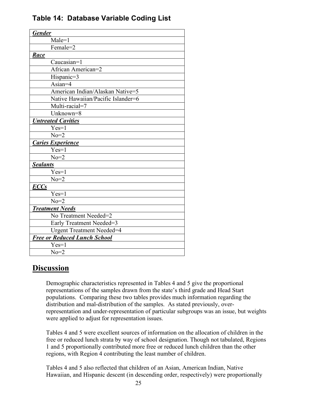|  | Table 14: Database Variable Coding List |  |  |  |
|--|-----------------------------------------|--|--|--|
|--|-----------------------------------------|--|--|--|

| <b>Gender</b>                       |  |  |
|-------------------------------------|--|--|
| Male=1                              |  |  |
| Female=2                            |  |  |
| Race                                |  |  |
| Caucasian=1                         |  |  |
| African American=2                  |  |  |
| Hispanic=3                          |  |  |
| Asian=4                             |  |  |
| American Indian/Alaskan Native=5    |  |  |
| Native Hawaiian/Pacific Islander=6  |  |  |
| Multi-racial=7                      |  |  |
| Unknown=8                           |  |  |
| <b>Untreated Cavities</b>           |  |  |
| $Yes=1$                             |  |  |
| $No=2$                              |  |  |
| <b>Caries Experience</b>            |  |  |
| $Yes=1$                             |  |  |
| $No=2$                              |  |  |
| <b>Sealants</b>                     |  |  |
| $Yes=1$                             |  |  |
| $No=2$                              |  |  |
| <b>ECCs</b>                         |  |  |
| $Yes=1$                             |  |  |
| $No=2$                              |  |  |
| <b>Treatment Needs</b>              |  |  |
| No Treatment Needed=2               |  |  |
| Early Treatment Needed=3            |  |  |
| <b>Urgent Treatment Needed=4</b>    |  |  |
| <b>Free or Reduced Lunch School</b> |  |  |
| $Yes=1$                             |  |  |
| $No=2$                              |  |  |

# **Discussion**

Demographic characteristics represented in Tables 4 and 5 give the proportional representations of the samples drawn from the state's third grade and Head Start populations. Comparing these two tables provides much information regarding the distribution and mal-distribution of the samples. As stated previously, overrepresentation and under-representation of particular subgroups was an issue, but weights were applied to adjust for representation issues.

Tables 4 and 5 were excellent sources of information on the allocation of children in the free or reduced lunch strata by way of school designation. Though not tabulated, Regions 1 and 5 proportionally contributed more free or reduced lunch children than the other regions, with Region 4 contributing the least number of children.

Tables 4 and 5 also reflected that children of an Asian, American Indian, Native Hawaiian, and Hispanic descent (in descending order, respectively) were proportionally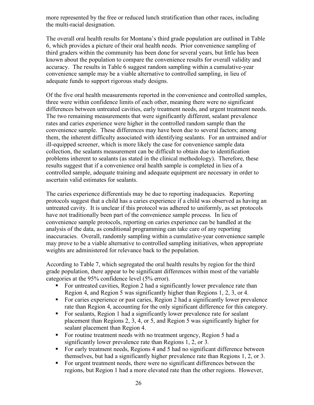more represented by the free or reduced lunch stratification than other races, including the multi-racial designation.

The overall oral health results for Montana's third grade population are outlined in Table 6, which provides a picture of their oral health needs. Prior convenience sampling of third graders within the community has been done for several years, but little has been known about the population to compare the convenience results for overall validity and accuracy. The results in Table 6 suggest random sampling within a cumulative-year convenience sample may be a viable alternative to controlled sampling, in lieu of adequate funds to support rigorous study designs.

Of the five oral health measurements reported in the convenience and controlled samples, three were within confidence limits of each other, meaning there were no significant differences between untreated cavities, early treatment needs, and urgent treatment needs. The two remaining measurements that were significantly different, sealant prevalence rates and caries experience were higher in the controlled random sample than the convenience sample. These differences may have been due to several factors; among them, the inherent difficulty associated with identifying sealants. For an untrained and/or ill-equipped screener, which is more likely the case for convenience sample data collection, the sealants measurement can be difficult to obtain due to identification problems inherent to sealants (as stated in the clinical methodology). Therefore, these results suggest that if a convenience oral health sample is completed in lieu of a controlled sample, adequate training and adequate equipment are necessary in order to ascertain valid estimates for sealants.

The caries experience differentials may be due to reporting inadequacies. Reporting protocols suggest that a child has a caries experience if a child was observed as having an untreated cavity. It is unclear if this protocol was adhered to uniformly, as set protocols have not traditionally been part of the convenience sample process. In lieu of convenience sample protocols, reporting on caries experience can be handled at the analysis of the data, as conditional programming can take care of any reporting inaccuracies. Overall, randomly sampling within a cumulative-year convenience sample may prove to be a viable alternative to controlled sampling initiatives, when appropriate weights are administered for relevance back to the population.

According to Table 7, which segregated the oral health results by region for the third grade population, there appear to be significant differences within most of the variable categories at the 95% confidence level (5% error).

- For untreated cavities, Region 2 had a significantly lower prevalence rate than Region 4, and Region 5 was significantly higher than Regions 1, 2, 3, or 4.
- For caries experience or past caries, Region 2 had a significantly lower prevalence rate than Region 4, accounting for the only significant difference for this category.
- For sealants, Region 1 had a significantly lower prevalence rate for sealant placement than Regions 2, 3, 4, or 5, and Region 5 was significantly higher for sealant placement than Region 4.
- For routine treatment needs with no treatment urgency, Region 5 had a significantly lower prevalence rate than Regions 1, 2, or 3.
- For early treatment needs, Regions 4 and 5 had no significant difference between themselves, but had a significantly higher prevalence rate than Regions 1, 2, or 3.
- For urgent treatment needs, there were no significant differences between the regions, but Region 1 had a more elevated rate than the other regions. However,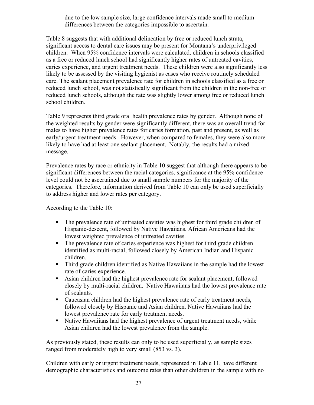due to the low sample size, large confidence intervals made small to medium differences between the categories impossible to ascertain.

Table 8 suggests that with additional delineation by free or reduced lunch strata, significant access to dental care issues may be present for Montana's underprivileged children. When 95% confidence intervals were calculated, children in schools classified as a free or reduced lunch school had significantly higher rates of untreated cavities, caries experience, and urgent treatment needs. These children were also significantly less likely to be assessed by the visiting hygienist as cases who receive routinely scheduled care. The sealant placement prevalence rate for children in schools classified as a free or reduced lunch school, was not statistically significant from the children in the non-free or reduced lunch schools, although the rate was slightly lower among free or reduced lunch school children.

Table 9 represents third grade oral health prevalence rates by gender. Although none of the weighted results by gender were significantly different, there was an overall trend for males to have higher prevalence rates for caries formation, past and present, as well as early/urgent treatment needs. However, when compared to females, they were also more likely to have had at least one sealant placement. Notably, the results had a mixed message.

Prevalence rates by race or ethnicity in Table 10 suggest that although there appears to be significant differences between the racial categories, significance at the 95% confidence level could not be ascertained due to small sample numbers for the majority of the categories. Therefore, information derived from Table 10 can only be used superficially to address higher and lower rates per category.

According to the Table 10:

- The prevalence rate of untreated cavities was highest for third grade children of Hispanic-descent, followed by Native Hawaiians. African Americans had the lowest weighted prevalence of untreated cavities.
- The prevalence rate of caries experience was highest for third grade children identified as multi-racial, followed closely by American Indian and Hispanic children.
- Third grade children identified as Native Hawaiians in the sample had the lowest rate of caries experience.
- Asian children had the highest prevalence rate for sealant placement, followed closely by multi-racial children. Native Hawaiians had the lowest prevalence rate of sealants.
- Caucasian children had the highest prevalence rate of early treatment needs, followed closely by Hispanic and Asian children. Native Hawaiians had the lowest prevalence rate for early treatment needs.
- Native Hawaiians had the highest prevalence of urgent treatment needs, while Asian children had the lowest prevalence from the sample.

As previously stated, these results can only to be used superficially, as sample sizes ranged from moderately high to very small (853 vs. 3).

Children with early or urgent treatment needs, represented in Table 11, have different demographic characteristics and outcome rates than other children in the sample with no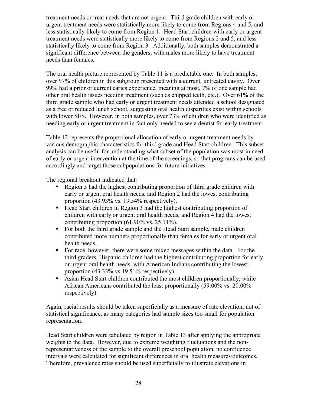treatment needs or treat needs that are not urgent. Third grade children with early or urgent treatment needs were statistically more likely to come from Regions 4 and 5, and less statistically likely to come from Region 1. Head Start children with early or urgent treatment needs were statistically more likely to come from Regions 2 and 5, and less statistically likely to come from Region 3. Additionally, both samples demonstrated a significant difference between the genders, with males more likely to have treatment needs than females.

The oral health picture represented by Table 11 is a predictable one. In both samples, over 97% of children in this subgroup presented with a current, untreated cavity. Over 99% had a prior or current caries experience, meaning at most, 7% of one sample had other oral health issues needing treatment (such as chipped teeth, etc.). Over 61% of the third grade sample who had early or urgent treatment needs attended a school designated as a free or reduced lunch school, suggesting oral health disparities exist within schools with lower SES. However, in both samples, over 73% of children who were identified as needing early or urgent treatment in fact only needed to see a dentist for early treatment.

Table 12 represents the proportional allocation of early or urgent treatment needs by various demographic characteristics for third grade and Head Start children. This subset analysis can be useful for understanding what subset of the population was most in need of early or urgent intervention at the time of the screenings, so that programs can be used accordingly and target those subpopulations for future initiatives.

The regional breakout indicated that:

- Region 5 had the highest contributing proportion of third grade children with early or urgent oral health needs, and Region 2 had the lowest contributing proportion (43.93% vs. 19.54% respectively).
- Head Start children in Region 3 had the highest contributing proportion of children with early or urgent oral health needs, and Region 4 had the lowest contributing proportion (61.90% vs. 25.11%).
- For both the third grade sample and the Head Start sample, male children contributed more numbers proportionally than females for early or urgent oral health needs.
- For race, however, there were some mixed messages within the data. For the third graders, Hispanic children had the highest contributing proportion for early or urgent oral health needs, with American Indians contributing the lowest proportion (43.33% vs 19.51% respectively).
- Asian Head Start children contributed the most children proportionally, while African Americans contributed the least proportionally (59.00% vs. 20.00% respectively).

Again, racial results should be taken superficially as a measure of rate elevation, not of statistical significance, as many categories had sample sizes too small for population representation.

Head Start children were tabulated by region in Table 13 after applying the appropriate weights to the data. However, due to extreme weighting fluctuations and the nonrepresentativeness of the sample to the overall preschool population, no confidence intervals were calculated for significant differences in oral health measures/outcomes. Therefore, prevalence rates should be used superficially to illustrate elevations in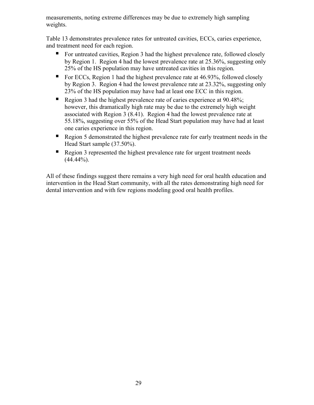measurements, noting extreme differences may be due to extremely high sampling weights.

Table 13 demonstrates prevalence rates for untreated cavities, ECCs, caries experience, and treatment need for each region.

- For untreated cavities, Region 3 had the highest prevalence rate, followed closely by Region 1. Region 4 had the lowest prevalence rate at 25.36%, suggesting only 25% of the HS population may have untreated cavities in this region.
- For ECCs, Region 1 had the highest prevalence rate at  $46.93\%$ , followed closely by Region 3. Region 4 had the lowest prevalence rate at 23.32%, suggesting only 23% of the HS population may have had at least one ECC in this region.
- Region 3 had the highest prevalence rate of caries experience at 90.48%; however, this dramatically high rate may be due to the extremely high weight associated with Region 3 (8.41). Region 4 had the lowest prevalence rate at 55.18%, suggesting over 55% of the Head Start population may have had at least one caries experience in this region.
- Region 5 demonstrated the highest prevalence rate for early treatment needs in the Head Start sample (37.50%).
- Region 3 represented the highest prevalence rate for urgent treatment needs  $(44.44\%)$ .

All of these findings suggest there remains a very high need for oral health education and intervention in the Head Start community, with all the rates demonstrating high need for dental intervention and with few regions modeling good oral health profiles.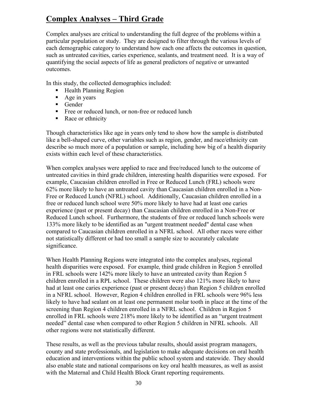# **Complex Analyses – Third Grade**

Complex analyses are critical to understanding the full degree of the problems within a particular population or study. They are designed to filter through the various levels of each demographic category to understand how each one affects the outcomes in question, such as untreated cavities, caries experience, sealants, and treatment need. It is a way of quantifying the social aspects of life as general predictors of negative or unwanted outcomes.

In this study, the collected demographics included:

- Health Planning Region
- Age in years
- Gender
- Free or reduced lunch, or non-free or reduced lunch
- Race or ethnicity

Though characteristics like age in years only tend to show how the sample is distributed like a bell-shaped curve, other variables such as region, gender, and race/ethnicity can describe so much more of a population or sample, including how big of a health disparity exists within each level of these characteristics.

When complex analyses were applied to race and free/reduced lunch to the outcome of untreated cavities in third grade children, interesting health disparities were exposed. For example, Caucasian children enrolled in Free or Reduced Lunch (FRL) schools were 62% more likely to have an untreated cavity than Caucasian children enrolled in a Non-Free or Reduced Lunch (NFRL) school. Additionally, Caucasian children enrolled in a free or reduced lunch school were 50% more likely to have had at least one caries experience (past or present decay) than Caucasian children enrolled in a Non-Free or Reduced Lunch school. Furthermore, the students of free or reduced lunch schools were 133% more likely to be identified as an "urgent treatment needed" dental case when compared to Caucasian children enrolled in a NFRL school. All other races were either not statistically different or had too small a sample size to accurately calculate significance.

When Health Planning Regions were integrated into the complex analyses, regional health disparities were exposed. For example, third grade children in Region 5 enrolled in FRL schools were 142% more likely to have an untreated cavity than Region 5 children enrolled in a RPL school. These children were also 121% more likely to have had at least one caries experience (past or present decay) than Region 5 children enrolled in a NFRL school. However, Region 4 children enrolled in FRL schools were 96% less likely to have had sealant on at least one permanent molar tooth in place at the time of the screening than Region 4 children enrolled in a NFRL school. Children in Region 5 enrolled in FRL schools were 218% more likely to be identified as an "urgent treatment needed" dental case when compared to other Region 5 children in NFRL schools. All other regions were not statistically different.

These results, as well as the previous tabular results, should assist program managers, county and state professionals, and legislation to make adequate decisions on oral health education and interventions within the public school system and statewide. They should also enable state and national comparisons on key oral health measures, as well as assist with the Maternal and Child Health Block Grant reporting requirements.